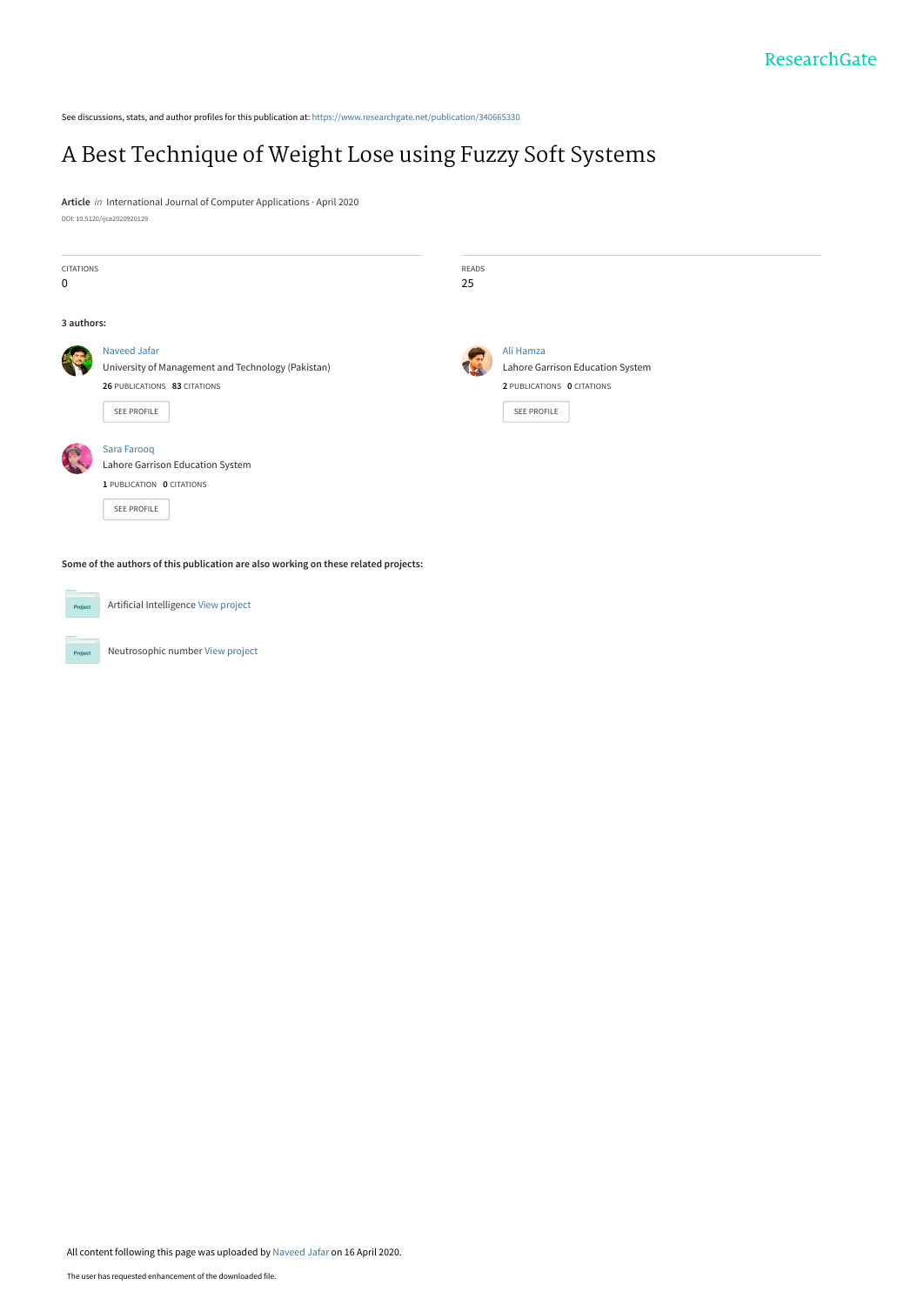See discussions, stats, and author profiles for this publication at: [https://www.researchgate.net/publication/340665330](https://www.researchgate.net/publication/340665330_A_Best_Technique_of_Weight_Lose_using_Fuzzy_Soft_Systems?enrichId=rgreq-ba37e1ee95aba5ace1019b727f961137-XXX&enrichSource=Y292ZXJQYWdlOzM0MDY2NTMzMDtBUzo4ODA4Nzk0ODg0NjY5NTBAMTU4NzAyOTQ0NDUyOA%3D%3D&el=1_x_2&_esc=publicationCoverPdf)

## [A Best Technique of Weight Lose using Fuzzy Soft Systems](https://www.researchgate.net/publication/340665330_A_Best_Technique_of_Weight_Lose_using_Fuzzy_Soft_Systems?enrichId=rgreq-ba37e1ee95aba5ace1019b727f961137-XXX&enrichSource=Y292ZXJQYWdlOzM0MDY2NTMzMDtBUzo4ODA4Nzk0ODg0NjY5NTBAMTU4NzAyOTQ0NDUyOA%3D%3D&el=1_x_3&_esc=publicationCoverPdf)

**Article** in International Journal of Computer Applications · April 2020 DOI: 10.5120/ijca2020920129

| <b>CITATIONS</b> |                                                                                     | READS |                                               |  |  |  |  |  |  |  |
|------------------|-------------------------------------------------------------------------------------|-------|-----------------------------------------------|--|--|--|--|--|--|--|
| 0                |                                                                                     | 25    |                                               |  |  |  |  |  |  |  |
| 3 authors:       |                                                                                     |       |                                               |  |  |  |  |  |  |  |
|                  | Naveed Jafar<br>University of Management and Technology (Pakistan)                  |       | Ali Hamza<br>Lahore Garrison Education System |  |  |  |  |  |  |  |
|                  | 26 PUBLICATIONS 83 CITATIONS                                                        |       | 2 PUBLICATIONS 0 CITATIONS                    |  |  |  |  |  |  |  |
|                  | SEE PROFILE                                                                         |       | SEE PROFILE                                   |  |  |  |  |  |  |  |
|                  | Sara Farooq<br>Lahore Garrison Education System                                     |       |                                               |  |  |  |  |  |  |  |
|                  | 1 PUBLICATION 0 CITATIONS                                                           |       |                                               |  |  |  |  |  |  |  |
|                  | SEE PROFILE                                                                         |       |                                               |  |  |  |  |  |  |  |
|                  | Some of the authors of this publication are also working on these related projects: |       |                                               |  |  |  |  |  |  |  |
|                  |                                                                                     |       |                                               |  |  |  |  |  |  |  |
| Project          | Artificial Intelligence View project                                                |       |                                               |  |  |  |  |  |  |  |

Neutrosophic number [View project](https://www.researchgate.net/project/Neutrosophic-number?enrichId=rgreq-ba37e1ee95aba5ace1019b727f961137-XXX&enrichSource=Y292ZXJQYWdlOzM0MDY2NTMzMDtBUzo4ODA4Nzk0ODg0NjY5NTBAMTU4NzAyOTQ0NDUyOA%3D%3D&el=1_x_9&_esc=publicationCoverPdf)

Project

All content following this page was uploaded by [Naveed Jafar](https://www.researchgate.net/profile/Naveed_Jafar2?enrichId=rgreq-ba37e1ee95aba5ace1019b727f961137-XXX&enrichSource=Y292ZXJQYWdlOzM0MDY2NTMzMDtBUzo4ODA4Nzk0ODg0NjY5NTBAMTU4NzAyOTQ0NDUyOA%3D%3D&el=1_x_10&_esc=publicationCoverPdf) on 16 April 2020.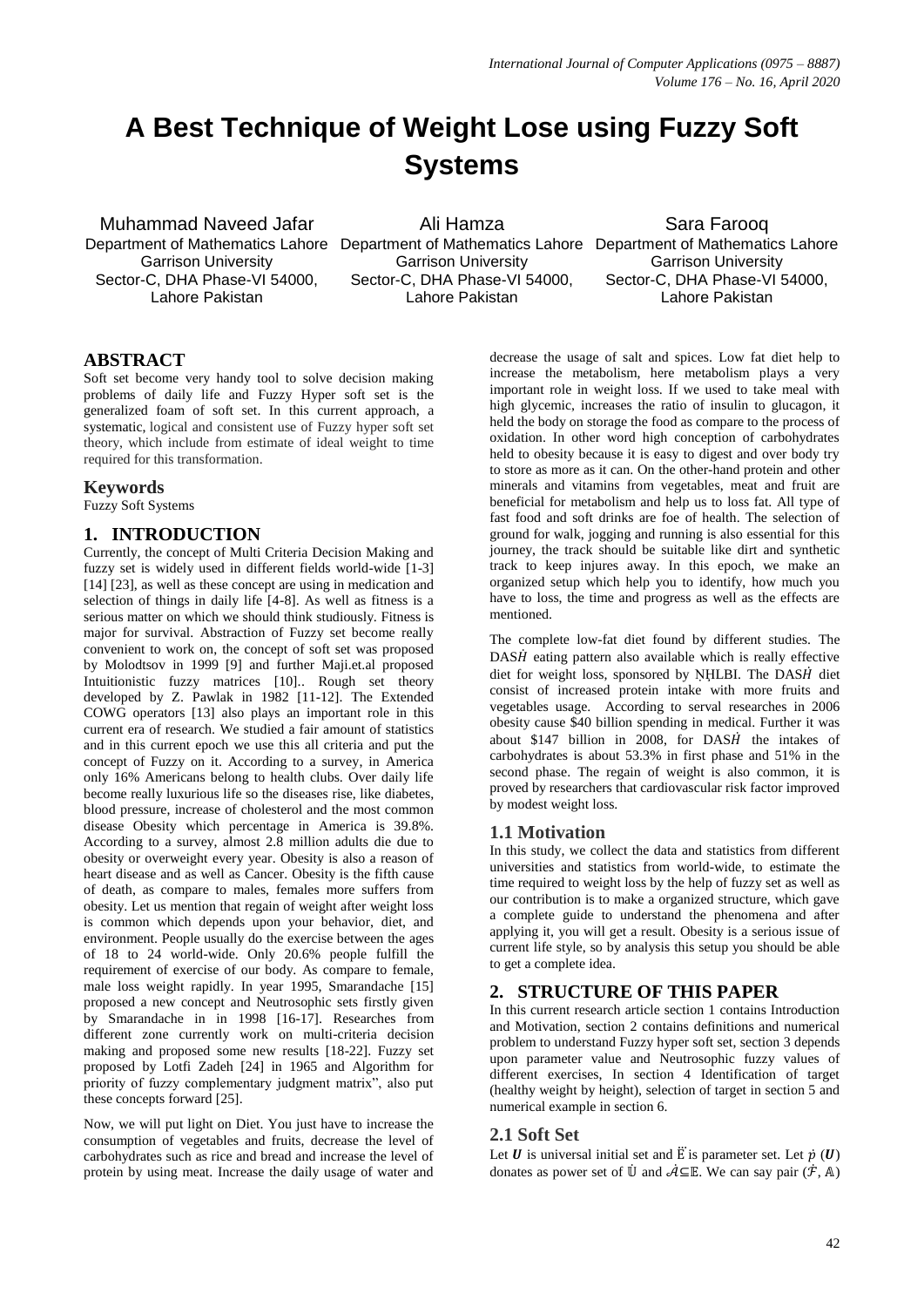# **A Best Technique of Weight Lose using Fuzzy Soft Systems**

Muhammad Naveed Jafar Department of Mathematics Lahore Department of Mathematics Lahore Department of Mathematics Lahore Garrison University Sector-C, DHA Phase-VI 54000, Lahore Pakistan

Ali Hamza

Garrison University Sector-C, DHA Phase-VI 54000, Lahore Pakistan

Sara Farooq Garrison University Sector-C, DHA Phase-VI 54000. Lahore Pakistan

### **ABSTRACT**

Soft set become very handy tool to solve decision making problems of daily life and Fuzzy Hyper soft set is the generalized foam of soft set. In this current approach, a systematic, logical and consistent use of Fuzzy hyper soft set theory, which include from estimate of ideal weight to time required for this transformation.

#### **Keywords**

Fuzzy Soft Systems

#### **1. INTRODUCTION**

Currently, the concept of Multi Criteria Decision Making and fuzzy set is widely used in different fields world-wide [1-3] [14] [23], as well as these concept are using in medication and selection of things in daily life [4-8]. As well as fitness is a serious matter on which we should think studiously. Fitness is major for survival. Abstraction of Fuzzy set become really convenient to work on, the concept of soft set was proposed by Molodtsov in 1999 [9] and further Maji.et.al proposed Intuitionistic fuzzy matrices [10].. Rough set theory developed by Z. Pawlak in 1982 [11-12]. The Extended COWG operators [13] also plays an important role in this current era of research. We studied a fair amount of statistics and in this current epoch we use this all criteria and put the concept of Fuzzy on it. According to a survey, in America only 16% Americans belong to health clubs. Over daily life become really luxurious life so the diseases rise, like diabetes, blood pressure, increase of cholesterol and the most common disease Obesity which percentage in America is 39.8%. According to a survey, almost 2.8 million adults die due to obesity or overweight every year. Obesity is also a reason of heart disease and as well as Cancer. Obesity is the fifth cause of death, as compare to males, females more suffers from obesity. Let us mention that regain of weight after weight loss is common which depends upon your behavior, diet, and environment. People usually do the exercise between the ages of 18 to 24 world-wide. Only 20.6% people fulfill the requirement of exercise of our body. As compare to female, male loss weight rapidly. In year 1995, Smarandache [15] proposed a new concept and Neutrosophic sets firstly given by Smarandache in in 1998 [16-17]. Researches from different zone currently work on multi-criteria decision making and proposed some new results [18-22]. Fuzzy set proposed by Lotfi Zadeh [24] in 1965 and Algorithm for priority of fuzzy complementary judgment matrix", also put these concepts forward [25].

Now, we will put light on Diet. You just have to increase the consumption of vegetables and fruits, decrease the level of carbohydrates such as rice and bread and increase the level of protein by using meat. Increase the daily usage of water and

decrease the usage of salt and spices. Low fat diet help to increase the metabolism, here metabolism plays a very important role in weight loss. If we used to take meal with high glycemic, increases the ratio of insulin to glucagon, it held the body on storage the food as compare to the process of oxidation. In other word high conception of carbohydrates held to obesity because it is easy to digest and over body try to store as more as it can. On the other-hand protein and other minerals and vitamins from vegetables, meat and fruit are beneficial for metabolism and help us to loss fat. All type of fast food and soft drinks are foe of health. The selection of ground for walk, jogging and running is also essential for this journey, the track should be suitable like dirt and synthetic track to keep injures away. In this epoch, we make an organized setup which help you to identify, how much you have to loss, the time and progress as well as the effects are mentioned.

The complete low-fat diet found by different studies. The  $DASH$  eating pattern also available which is really effective diet for weight loss, sponsored by NHLBI. The  $DASH$  diet consist of increased protein intake with more fruits and vegetables usage. According to serval researches in 2006 obesity cause \$40 billion spending in medical. Further it was about \$147 billion in 2008, for  $DASH$  the intakes of carbohydrates is about 53.3% in first phase and 51% in the second phase. The regain of weight is also common, it is proved by researchers that cardiovascular risk factor improved by modest weight loss.

#### **1.1 Motivation**

In this study, we collect the data and statistics from different universities and statistics from world-wide, to estimate the time required to weight loss by the help of fuzzy set as well as our contribution is to make a organized structure, which gave a complete guide to understand the phenomena and after applying it, you will get a result. Obesity is a serious issue of current life style, so by analysis this setup you should be able to get a complete idea.

## **2. STRUCTURE OF THIS PAPER**

In this current research article section 1 contains Introduction and Motivation, section 2 contains definitions and numerical problem to understand Fuzzy hyper soft set, section 3 depends upon parameter value and Neutrosophic fuzzy values of different exercises, In section 4 Identification of target (healthy weight by height), selection of target in section 5 and numerical example in section 6.

#### **2.1 Soft Set**

Let  $\boldsymbol{U}$  is universal initial set and  $\ddot{E}$  is parameter set. Let  $\dot{p}$  ( $\boldsymbol{U}$ ) donates as power set of  $\dot{\mathbb{U}}$  and  $\dot{\mathcal{A}} \subseteq \mathbb{E}$ . We can say pair  $(\dot{\mathcal{F}}, \mathbb{A})$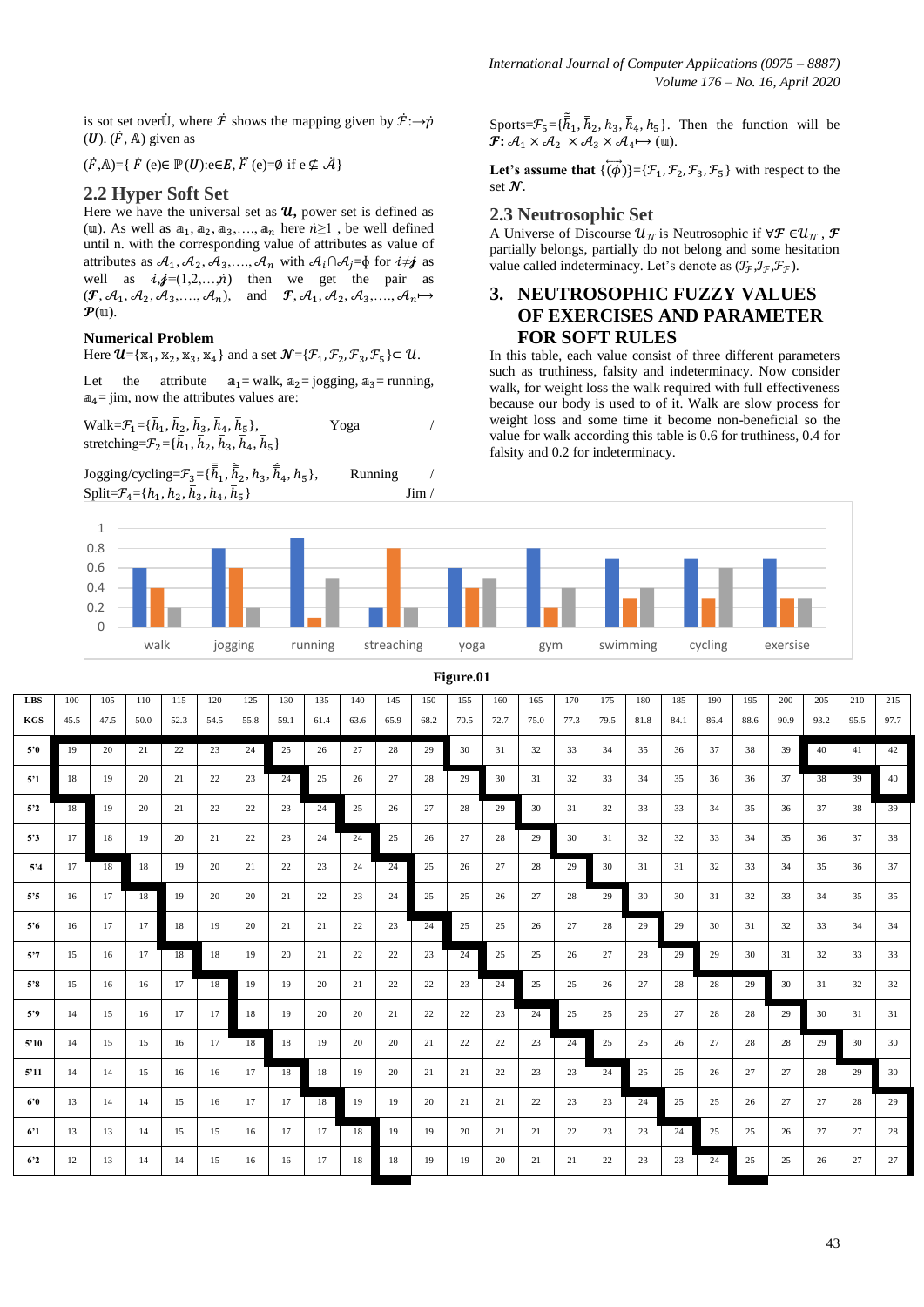is sot set over  $\dot{U}$ , where  $\dot{\mathcal{F}}$  shows the mapping given by  $\dot{\mathcal{F}}$ : $\rightarrow \dot{p}$  $(U)$ .  $(\dot{F}, A)$  given as

 $(\dot{F}, A) = \{ \dot{F}$  (e) $\in \mathbb{P}(\boldsymbol{U}) : e \in E, \ddot{F}$  (e)= $\emptyset$  if  $e \notin \ddot{H}$ 

#### **2.2 Hyper Soft Set**

Here we have the universal set as  $u$ , power set is defined as (u). As well as  $a_1, a_2, a_3, \ldots, a_n$  here  $n \ge 1$ , be well defined until n. with the corresponding value of attributes as value of attributes as  $A_1, A_2, A_3, \ldots, A_n$  with  $A_i \cap A_j = \emptyset$  for  $i \neq j$  as well as  $i$ ,  $j=(1,2,...,n)$  then we get the pair as  $(\mathbf{F}, \mathcal{A}_1, \mathcal{A}_2, \mathcal{A}_3, \dots, \mathcal{A}_n)$ , and  $\mathbf{F}, \mathcal{A}_1, \mathcal{A}_2, \mathcal{A}_3, \dots, \mathcal{A}_n \mapsto$  $\mathcal{P}(\mathfrak{m}).$ 

#### **Numerical Problem**

Here  $\mathbf{U} = {\mathbf{x}_1, \mathbf{x}_2, \mathbf{x}_3, \mathbf{x}_4}$  and a set  $\mathbf{N} = {\mathbf{\{\mathcal{F}}_1, \mathcal{F}_2, \mathcal{F}_3, \mathcal{F}_5\}} \subset \mathbf{U}$ .

Let the attribute  $a_1$  = walk,  $a_2$  = jogging,  $a_3$  = running,  $a_4$ = jim, now the attributes values are:

$$
Walk = \mathcal{F}_1 = {\bar{h}_1, \bar{h}_2, \bar{h}_3, \bar{h}_4, \bar{h}_5},
$$
\n
$$
Stretching = \mathcal{F}_2 = {\bar{h}_1, \bar{h}_2, \bar{h}_3, \bar{h}_4, \bar{h}_5}
$$
\n
$$
Yoga
$$

Jogging/cycling= $\mathcal{F}_3 = {\{\overline{\overline{\overline{h}}}_1, \overline{\overline{\overline{h}}}_2, h_3, \overline{\overline{\overline{h}}}$ Running Split= $\mathcal{F}_4 = \{h_1, h_2, h_3, h_4, h_5\}$ } Jim / Sports= $\mathcal{F}_5 = {\overline{h}_1, \overline{h}_2, h_3, \overline{h}_4, h_5}.$  Then the function will be  $\mathcal{F}$ :  $\mathcal{A}_1 \times \mathcal{A}_2 \times \mathcal{A}_3 \times \mathcal{A}_4 \mapsto (\mathbb{u}).$ 

Let's assume that  $\{(\vec{\phi})\} = {\{\mathcal{F}_1, \mathcal{F}_2, \mathcal{F}_3, \mathcal{F}_5\}}$  with respect to the set  $\mathcal{N}$ .

#### **2.3 Neutrosophic Set**

A Universe of Discourse  $\mathcal{U}_{\mathcal{N}}$  is Neutrosophic if  $\forall \mathcal{F} \in \mathcal{U}_{\mathcal{N}}$ ,  $\mathcal{F}$ partially belongs, partially do not belong and some hesitation value called indeterminacy. Let's denote as  $(\mathcal{T}_{\mathcal{F}}, \mathcal{I}_{\mathcal{F}}, \mathcal{F}_{\mathcal{F}})$ .

## **3. NEUTROSOPHIC FUZZY VALUES OF EXERCISES AND PARAMETER FOR SOFT RULES**

In this table, each value consist of three different parameters such as truthiness, falsity and indeterminacy. Now consider walk, for weight loss the walk required with full effectiveness because our body is used to of it. Walk are slow process for weight loss and some time it become non-beneficial so the value for walk according this table is 0.6 for truthiness, 0.4 for falsity and 0.2 for indeterminacy.



|                | Figure.01 |      |      |      |      |      |      |      |      |      |      |      |      |      |      |      |      |      |      |      |      |      |      |      |
|----------------|-----------|------|------|------|------|------|------|------|------|------|------|------|------|------|------|------|------|------|------|------|------|------|------|------|
| <b>LBS</b>     | 100       | 105  | 110  | 115  | 120  | 125  | 130  | 135  | 140  | 145  | 150  | 155  | 160  | 165  | 170  | 175  | 180  | 185  | 190  | 195  | 200  | 205  | 210  | 215  |
| <b>KGS</b>     | 45.5      | 47.5 | 50.0 | 52.3 | 54.5 | 55.8 | 59.1 | 61.4 | 63.6 | 65.9 | 68.2 | 70.5 | 72.7 | 75.0 | 77.3 | 79.5 | 81.8 | 84.1 | 86.4 | 88.6 | 90.9 | 93.2 | 95.5 | 97.7 |
| 5'0            | 19        | 20   | 21   | 22   | 23   | 24   | 25   | 26   | 27   | 28   | 29   | 30   | 31   | 32   | 33   | 34   | 35   | 36   | 37   | 38   | 39   | 40   | 41   | 42   |
| 5'1            | 18        | 19   | 20   | 21   | 22   | 23   | 24   | 25   | 26   | 27   | 28   | 29   | 30   | 31   | 32   | 33   | 34   | 35   | 36   | 36   | 37   | 38   | 39   | 40   |
| 5'2            | 18        | 19   | 20   | 21   | 22   | 22   | 23   | 24   | 25   | 26   | 27   | 28   | 29   | 30   | 31   | 32   | 33   | 33   | 34   | 35   | 36   | 37   | 38   | 39   |
| 5'3            | 17        | 18   | 19   | 20   | 21   | 22   | 23   | 24   | 24   | 25   | 26   | 27   | 28   | 29   | 30   | 31   | 32   | 32   | 33   | 34   | 35   | 36   | 37   | 38   |
| 5'3            | 17        | 18   | 18   | 19   | 20   | 21   | 22   | 23   | 24   | 24   | 25   | 26   | 27   | 28   | 29   | 30   | 31   | 31   | 32   | 33   | 34   | 35   | 36   | 37   |
| $5.5^{\circ}$  | 16        | 17   | 18   | 19   | 20   | 20   | 21   | 22   | 23   | 24   | 25   | 25   | 26   | 27   | 28   | 29   | 30   | 30   | 31   | 32   | 33   | 34   | 35   | 35   |
| $5^{\circ}6$   | 16        | 17   | 17   | 18   | 19   | 20   | 21   | 21   | 22   | 23   | 24   | 25   | 25   | 26   | 27   | 28   | 29   | 29   | 30   | 31   | 32   | 33   | 34   | 34   |
| 5'7            | 15        | 16   | 17   | 18   | 18   | 19   | 20   | 21   | 22   | 22   | 23   | 24   | 25   | 25   | 26   | 27   | 28   | 29   | 29   | 30   | 31   | 32   | 33   | 33   |
| 5'8            | 15        | 16   | 16   | 17   | 18   | 19   | 19   | 20   | 21   | 22   | 22   | 23   | 24   | 25   | 25   | 26   | 27   | 28   | 28   | 29   | 30   | 31   | 32   | 32   |
| 5'9            | 14        | 15   | 16   | 17   | 17   | 18   | 19   | 20   | 20   | 21   | 22   | 22   | 23   | 24   | 25   | 25   | 26   | 27   | 28   | 28   | 29   | 30   | 31   | 31   |
| 5'10           | 14        | 15   | 15   | 16   | 17   | 18   | 18   | 19   | 20   | 20   | 21   | 22   | 22   | 23   | 24   | 25   | 25   | 26   | 27   | 28   | 28   | 29   | 30   | 30   |
| 5'11           | 14        | 14   | 15   | 16   | 16   | 17   | 18   | 18   | 19   | 20   | 21   | 21   | 22   | 23   | 23   | 24   | 25   | 25   | 26   | 27   | 27   | 28   | 29   | 30   |
| 6'0            | 13        | 14   | 14   | 15   | 16   | 17   | 17   | 18   | 19   | 19   | 20   | 21   | 21   | 22   | 23   | 23   | 24   | 25   | 25   | 26   | 27   | 27   | 28   | 29   |
| 6 <sup>1</sup> | 13        | 13   | 14   | 15   | 15   | 16   | 17   | 17   | 18   | 19   | 19   | 20   | 21   | 21   | 22   | 23   | 23   | 24   | 25   | 25   | 26   | 27   | 27   | 28   |
| 6 <sup>2</sup> | 12        | 13   | 14   | 14   | 15   | 16   | 16   | 17   | 18   | 18   | 19   | 19   | 20   | 21   | 21   | 22   | 23   | 23   | 24   | 25   | 25   | 26   | 27   | 27   |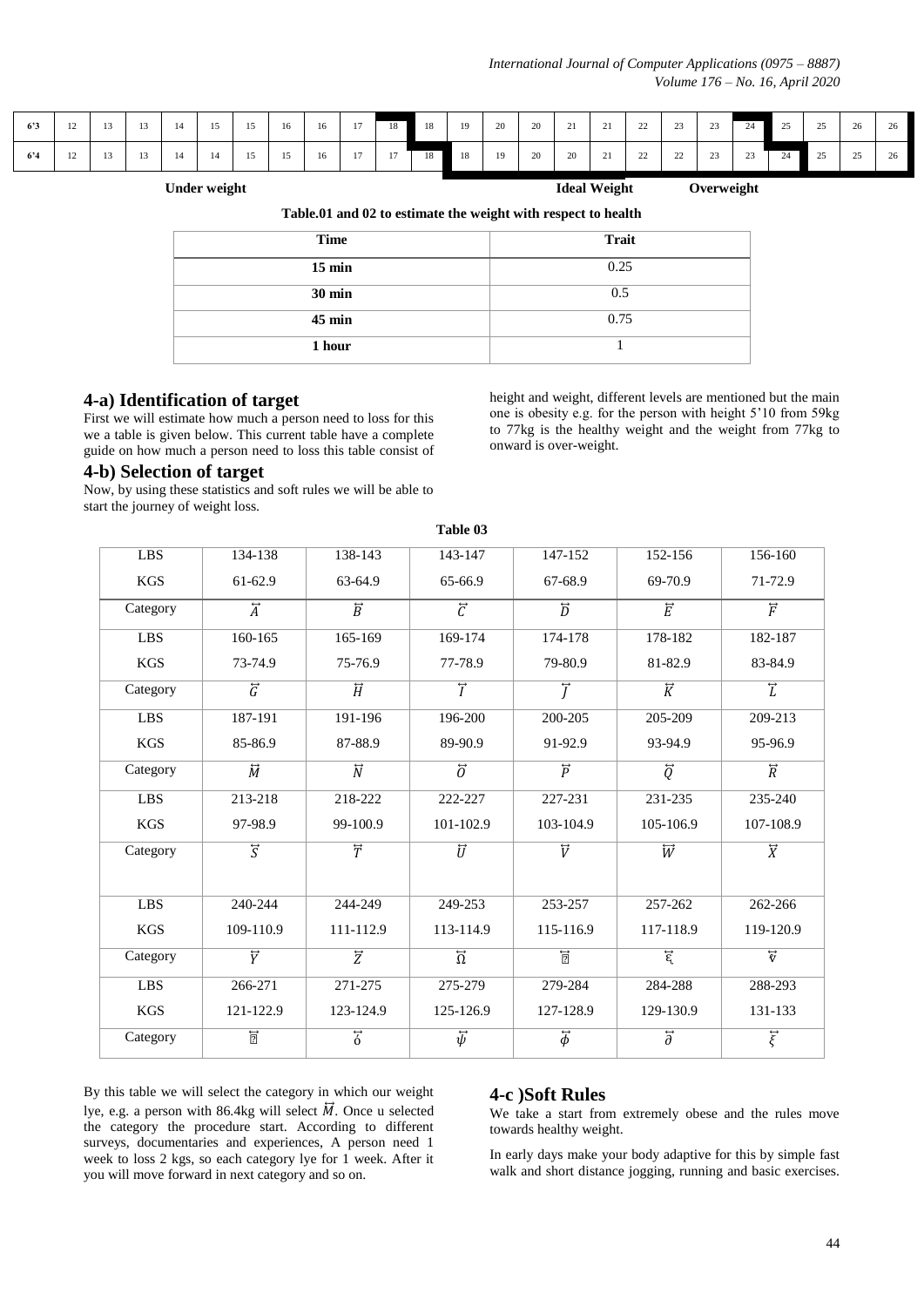| 6'3 |  |  |  |  |  |  |  |  |  |  |  | $12$   $13$   $13$   $14$   $15$   $15$   $16$   $16$   $17$   $18$   $18$   $19$   $20$   $20$   $21$   $21$   $22$   $23$   $23$   $24$   $25$   $25$   $26$   $26$ |
|-----|--|--|--|--|--|--|--|--|--|--|--|-----------------------------------------------------------------------------------------------------------------------------------------------------------------------|
| 6'4 |  |  |  |  |  |  |  |  |  |  |  | $12$   $13$   $13$   $14$   $14$   $15$   $15$   $16$   $17$   $17$   $18$   $18$   $19$   $20$   $20$   $21$   $22$   $22$   $23$   $23$   $24$   $25$   $26$   $26$ |

Under weight **Ideal Weight** Overweight **Ideal Weight** Overweight

|  | Table.01 and 02 to estimate the weight with respect to health |
|--|---------------------------------------------------------------|
|--|---------------------------------------------------------------|

| <b>Time</b>      | <b>Trait</b> |
|------------------|--------------|
| $15 \text{ min}$ | 0.25         |
| $30 \text{ min}$ | 0.5          |
| $45 \text{ min}$ | 0.75         |
| 1 hour           |              |

#### **4-a) Identification of target**

First we will estimate how much a person need to loss for this we a table is given below. This current table have a complete guide on how much a person need to loss this table consist of

#### **4-b) Selection of target**

Now, by using these statistics and soft rules we will be able to start the journey of weight loss.

height and weight, different levels are mentioned but the main one is obesity e.g. for the person with height 5'10 from 59kg to 77kg is the healthy weight and the weight from 77kg to onward is over-weight.

| <b>LBS</b>       | 134-138                    | 138-143                         | 143-147                   | 147-152                   | 152-156                   | 156-160                   |
|------------------|----------------------------|---------------------------------|---------------------------|---------------------------|---------------------------|---------------------------|
| <b>KGS</b>       | 61-62.9                    | 63-64.9                         | 65-66.9                   | 67-68.9                   | 69-70.9                   | 71-72.9                   |
| Category         | $\overleftrightarrow{A}$   | $\overline{\overrightarrow{B}}$ | $\overline{\vec{c}}$      | $\overline{\overline{D}}$ | $\overline{\vec{E}}$      | $\overline{\overline{F}}$ |
| $L\overline{BS}$ | 160-165                    | 165-169                         | 169-174                   | 174-178                   | 178-182                   | 182-187                   |
| <b>KGS</b>       | 73-74.9                    | 75-76.9                         | 77-78.9                   | 79-80.9                   | 81-82.9                   | 83-84.9                   |
| Category         | $\overline{\tilde{G}}$     | $\overleftrightarrow{H}$        | $\overline{T}$            | $\overline{T}$            | $\overline{\vec{K}}$      | $\overline{L}$            |
| <b>LBS</b>       | 187-191                    | 191-196                         | 196-200                   | 200-205                   | 205-209                   | 209-213                   |
| <b>KGS</b>       | 85-86.9                    | 87-88.9                         | 89-90.9                   | 91-92.9                   | 93-94.9                   | 95-96.9                   |
| Category         | $\overline{\widetilde{M}}$ | $\overline{\overline{N}}$       | $\overline{\partial}$     | $\overrightarrow{p}$      | $\overline{\overline{Q}}$ | $\overrightarrow{R}$      |
| <b>LBS</b>       | 213-218                    | 218-222                         | 222-227                   | 227-231                   | 231-235                   | 235-240                   |
| <b>KGS</b>       | 97-98.9                    | 99-100.9                        | 101-102.9                 | 103-104.9                 | 105-106.9                 | 107-108.9                 |
| Category         | $\overline{S}$             | $\overline{\overline{T}}$       | $\overline{\overline{U}}$ | $\overline{\overline{V}}$ | $\overline{W}$            | $\overline{\overline{X}}$ |
|                  |                            |                                 |                           |                           |                           |                           |
| <b>LBS</b>       | 240-244                    | 244-249                         | 249-253                   | 253-257                   | 257-262                   | 262-266                   |
| <b>KGS</b>       | 109-110.9                  | 111-112.9                       | 113-114.9                 | 115-116.9                 | 117-118.9                 | 119-120.9                 |
| Category         | $\overline{\overline{Y}}$  | $\overline{z}$                  | $\overline{\Omega}$       | $\overline{2}$            | $\overline{\epsilon}$     | $\overrightarrow{v}$      |
| <b>LBS</b>       | 266-271                    | 271-275                         | 275-279                   | 279-284                   | 284-288                   | 288-293                   |
| <b>KGS</b>       | 121-122.9                  | 123-124.9                       | 125-126.9                 | 127-128.9                 | 129-130.9                 | 131-133                   |
| Category         | $\overline{2}$             | $\overline{\vec{6}}$            | $\vec{\psi}$              | $\vec{\phi}$              | $\overline{\partial}$     | $\vec{\xi}$               |

**Table 03**

By this table we will select the category in which our weight lye, e.g. a person with 86.4kg will select  $\vec{M}$ . Once u selected the category the procedure start. According to different surveys, documentaries and experiences, A person need 1 week to loss 2 kgs, so each category lye for 1 week. After it you will move forward in next category and so on.

#### **4-c )Soft Rules**

We take a start from extremely obese and the rules move towards healthy weight.

In early days make your body adaptive for this by simple fast walk and short distance jogging, running and basic exercises.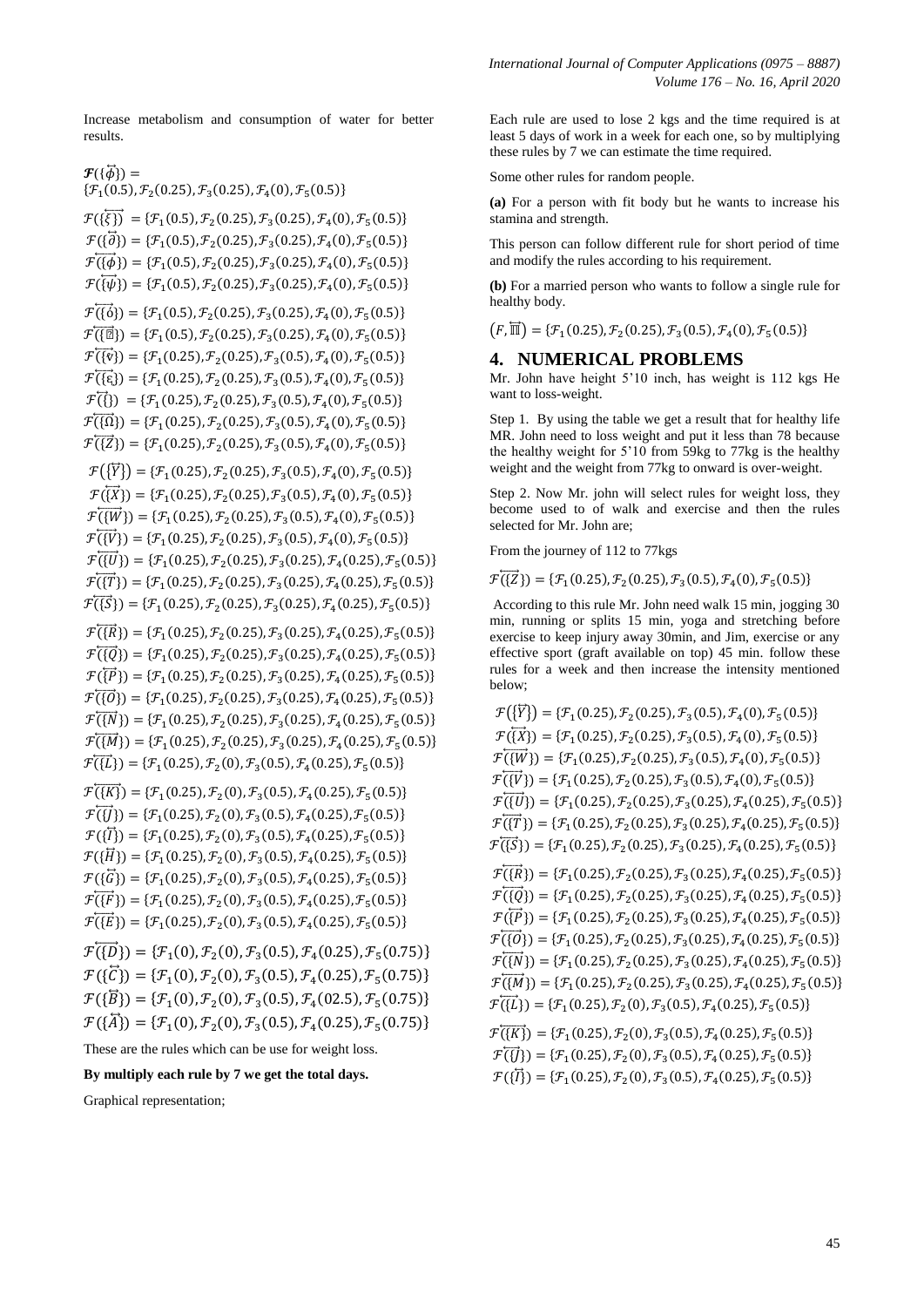Increase metabolism and consumption of water for better results.

 $\mathcal{F}(\{\vec{\phi}\})=$  $\mathcal{F}_1(0.5), \mathcal{F}_2(0.25), \mathcal{F}_3(0.25), \mathcal{F}_4(0), \mathcal{F}_5(0)$  $\mathcal{F}(\{\overline{\xi\}}) = {\mathcal{F}_1(0.5), \mathcal{F}_2(0.25), \mathcal{F}_3(0.25), \mathcal{F}_4(0), \mathcal{F}_5(0.25)}$  $\mathcal{F}(\{\overline{\partial}\}) = \{\mathcal{F}_1(0.5), \mathcal{F}_2(0.25), \mathcal{F}_3(0.25), \mathcal{F}_4(0.25)\}$  $\mathcal{F}(\overrightarrow{\{\phi\}}) = {\mathcal{F}_1(0.5), \mathcal{F}_2(0.25), \mathcal{F}_3(0.25), \mathcal{F}_4(0.25)}$  $\mathcal{F}(\overline{\{\psi\}}) = {\mathcal{F}_1(0.5), \mathcal{F}_2(0.25), \mathcal{F}_3(0.25), \mathcal{F}_4(0), \mathcal{F}_5(0.25)}$  $\mathcal{F}(\overrightarrow{\{0\}}) = {\mathcal{F}_1(0.5), \mathcal{F}_2(0.25), \mathcal{F}_3(0.25), \mathcal{F}_4(0), \mathcal{F}_5(0.25)}$  $\mathcal{F}(\overline{\{\mathbb{E}\}}) = {\mathcal{F}_1(0.5), \mathcal{F}_2(0.25), \mathcal{F}_3(0.25), \mathcal{F}_4(0), \mathcal{F}_5(0.25)}$  $\mathcal{F}(\overrightarrow{\{v\}}) = {\mathcal{F}_1(0.25), \mathcal{F}_2(0.25), \mathcal{F}_3(0.5), \mathcal{F}_4(0), \mathcal{F}_5(0, 0)}$  $\mathcal{F}(\{ \xi \}) = \{ \mathcal{F}_1(0.25), \mathcal{F}_2(0.25), \mathcal{F}_3(0.5), \mathcal{F}_4(0), \mathcal{F}_5(0.5) \}$  $\mathcal{F}(\{3\}) = {\mathcal{F}_1(0.25), \mathcal{F}_2(0.25), \mathcal{F}_3(0.5), \mathcal{F}_4(0), \mathcal{F}_5(0, 0)}$  $\mathcal{F}(\overrightarrow{\Omega}) = \{\mathcal{F}_1(0.25), \mathcal{F}_2(0.25), \mathcal{F}_3(0.5), \mathcal{F}_4(0), \mathcal{F}_5(0.5)\}$  $\mathcal{F}(\overrightarrow{Z}) = \{\mathcal{F}_1(0.25), \mathcal{F}_2(0.25), \mathcal{F}_3(0.5), \mathcal{F}_4(0), \mathcal{F}_5(0.5)\}$  $\mathcal{F}(\{\overline{Y}\}) = \{\mathcal{F}_1(0.25), \mathcal{F}_2(0.25), \mathcal{F}_3(0.5), \mathcal{F}_4(0), \mathcal{F}_5(0.5)\}$  $\mathcal{F}(\overrightarrow{X}) = \{\mathcal{F}_1(0.25), \mathcal{F}_2(0.25), \mathcal{F}_3(0.5), \mathcal{F}_4(0), \mathcal{F}_5(0.5)\}$  $\mathcal{F}(\overrightarrow{W}) = \{\mathcal{F}_1(0.25), \mathcal{F}_2(0.25), \mathcal{F}_3(0.5), \mathcal{F}_4(0), \mathcal{F}_5(0)\}$  $\mathcal{F}(\overrightarrow{W}) = \{\mathcal{F}_1(0.25), \mathcal{F}_2(0.25), \mathcal{F}_3(0.5), \mathcal{F}_4(0), \mathcal{F}_5(0.5)\}$  $\mathcal{F}(\overrightarrow{U}) = \{\mathcal{F}_1(0.25), \mathcal{F}_2(0.25), \mathcal{F}_3(0.25), \mathcal{F}_4(0.25), \mathcal{F}_5(0.25)\}$  $\mathcal{F}(\overrightarrow{1},\overrightarrow{1}) = {\mathcal{F}_1(0.25), \mathcal{F}_2(0.25), \mathcal{F}_3(0.25), \mathcal{F}_4(0.25), \mathcal{F}_5(0.25)}$  $\mathcal{F}(\overrightarrow{S}) = \{\mathcal{F}_1(0.25), \mathcal{F}_2(0.25), \mathcal{F}_3(0.25), \mathcal{F}_4(0.25), \mathcal{F}_5(0.25)\}$  $\mathcal{F}(\overrightarrow{R}) = \{\mathcal{F}_1(0.25), \mathcal{F}_2(0.25), \mathcal{F}_3(0.25), \mathcal{F}_4(0.25), \mathcal{F}_5(0.25)\}$  $\mathcal{F}(\overrightarrow{Q}) = \{\mathcal{F}_1(0.25), \mathcal{F}_2(0.25), \mathcal{F}_3(0.25), \mathcal{F}_4(0.25), \mathcal{F}_5(0.25)\}$  $\mathcal{F}(\overrightarrow{P}) = \{\mathcal{F}_1(0.25), \mathcal{F}_2(0.25), \mathcal{F}_3(0.25), \mathcal{F}_4(0.25), \mathcal{F}_5(0.25)\}$  $\mathcal{F}(\overrightarrow{0}) = \{\mathcal{F}_1(0.25), \mathcal{F}_2(0.25), \mathcal{F}_3(0.25), \mathcal{F}_4(0.25), \mathcal{F}_5(0.25)\}$  $\mathcal{F}(\overrightarrow{N}) = \{\mathcal{F}_1(0.25), \mathcal{F}_2(0.25), \mathcal{F}_3(0.25), \mathcal{F}_4(0.25), \mathcal{F}_5(0.25)\}$  $\mathcal{F}(\overrightarrow{M}) = \{\mathcal{F}_1(0.25), \mathcal{F}_2(0.25), \mathcal{F}_3(0.25), \mathcal{F}_4(0.25), \mathcal{F}_5(0.25)\}$  $\mathcal{F}(\vec{\{L\}}) = {\mathcal{F}_1(0.25), \mathcal{F}_2(0), \mathcal{F}_3(0.5), \mathcal{F}_4(0.25), \mathcal{F}_5(0.5)}$  $\mathcal{F}(\overrightarrow{K}) = \{\mathcal{F}_1(0.25), \mathcal{F}_2(0), \mathcal{F}_3(0.5), \mathcal{F}_4(0.25), \mathcal{F}_5(0.5)\}$  $\mathcal{F}(\vec{y}) = {\mathcal{F}_1(0.25), \mathcal{F}_2(0), \mathcal{F}_3(0.5), \mathcal{F}_4(0.25), \mathcal{F}_5(0.5)}$  $\mathcal{F}(\{\vec{l}\}) = \{\mathcal{F}_1(0.25), \mathcal{F}_2(0), \mathcal{F}_3(0.5), \mathcal{F}_4(0.25), \mathcal{F}_5(0.5)\}$  $\mathcal{F}(\{\vec{H}\}) = {\mathcal{F}_1(0.25), \mathcal{F}_2(0), \mathcal{F}_3(0.5), \mathcal{F}_4(0.25), \mathcal{F}_5(0.5)}$  $\mathcal{F}(\{\vec{G}\}) = \{\mathcal{F}_1(0.25), \mathcal{F}_2(0), \mathcal{F}_3(0.5), \mathcal{F}_4(0.25), \mathcal{F}_5(0.5)\}$  $\mathcal{F}(\overrightarrow{F}) = \{ \mathcal{F}_1(0.25), \mathcal{F}_2(0), \mathcal{F}_3(0.5), \mathcal{F}_4(0.25), \mathcal{F}_5(0.5), \mathcal{F}_6(0.5), \mathcal{F}_7(0.5), \mathcal{F}_8(0.5), \mathcal{F}_9(0.5), \mathcal{F}_9(0.5), \mathcal{F}_9(0.5), \mathcal{F}_9(0.5), \mathcal{F}_9(0.5), \mathcal{F}_9(0.5), \mathcal{F}_9(0.5), \mathcal{F}_9(0.5), \mathcal{F}_9(0.5), \$  $\mathcal{F}(\overrightarrow{E}) = \{ \mathcal{F}_1(0.25), \mathcal{F}_2(0), \mathcal{F}_3(0.5), \mathcal{F}_4(0.25), \mathcal{F}_5(0.5)\}$  $\mathcal{F}(\overrightarrow{D}) = {\mathcal{F}_1(0), \mathcal{F}_2(0), \mathcal{F}_3(0.5), \mathcal{F}_4(0.25), \mathcal{F}_5(0.5)}$  $\mathcal{F}(\{\vec{C}\}) = {\mathcal{F}_1(0), \mathcal{F}_2(0), \mathcal{F}_3(0.5), \mathcal{F}_4(0.25), \mathcal{F}_5(0.5)}$  $\mathcal{F}(\{\overline{B}\}) = \{\mathcal{F}_1(0), \mathcal{F}_2(0), \mathcal{F}_3(0.5), \mathcal{F}_4(02.5), \mathcal{F}_5(0.5)\}$ 

 $\mathcal{F}(\{\vec{A}\}) = {\mathcal{F}_1(0), \mathcal{F}_2(0), \mathcal{F}_3(0.5), \mathcal{F}_4(0.25), \mathcal{F}_5(0.5)}$ 

These are the rules which can be use for weight loss.

#### **By multiply each rule by 7 we get the total days.**

Graphical representation;

Each rule are used to lose 2 kgs and the time required is at least 5 days of work in a week for each one, so by multiplying these rules by 7 we can estimate the time required.

Some other rules for random people.

**(a)** For a person with fit body but he wants to increase his stamina and strength.

This person can follow different rule for short period of time and modify the rules according to his requirement.

**(b)** For a married person who wants to follow a single rule for healthy body.

 $(F,\overline{\mathbb{H}}) = {\mathcal{F}_1(0.25), \mathcal{F}_2(0.25), \mathcal{F}_3(0.5), \mathcal{F}_4(0), \mathcal{F}_5(0)}$ 

#### **4. NUMERICAL PROBLEMS**

Mr. John have height 5'10 inch, has weight is 112 kgs He want to loss-weight.

Step 1. By using the table we get a result that for healthy life MR. John need to loss weight and put it less than 78 because the healthy weight for 5'10 from 59kg to 77kg is the healthy weight and the weight from 77kg to onward is over-weight.

Step 2. Now Mr. john will select rules for weight loss, they become used to of walk and exercise and then the rules selected for Mr. John are;

From the journey of 112 to 77kgs

 $\mathcal{F}(\overrightarrow{Z}) = \{\mathcal{F}_1(0.25), \mathcal{F}_2(0.25), \mathcal{F}_3(0.5), \mathcal{F}_4(0), \mathcal{F}_5(0.5)\}$ 

According to this rule Mr. John need walk 15 min, jogging 30 min, running or splits 15 min, yoga and stretching before exercise to keep injury away 30min, and Jim, exercise or any effective sport (graft available on top) 45 min. follow these rules for a week and then increase the intensity mentioned below;

```
\mathcal{F}(\{\overline{Y}\}) = \{\mathcal{F}_1(0.25), \mathcal{F}_2(0.25), \mathcal{F}_3(0.5), \mathcal{F}_4(0), \mathcal{F}_5(0.5)\}\mathcal{F}(\overrightarrow{X}) = \{\mathcal{F}_1(0.25), \mathcal{F}_2(0.25), \mathcal{F}_3(0.5), \mathcal{F}_4(0), \mathcal{F}_5(0.5)\}\mathcal{F}(\overrightarrow{W}) = \{\mathcal{F}_1(0.25), \mathcal{F}_2(0.25), \mathcal{F}_3(0.5), \mathcal{F}_4(0), \mathcal{F}_5(0)\}\mathcal{F}(\overrightarrow{W}) = \{\mathcal{F}_1(0.25), \mathcal{F}_2(0.25), \mathcal{F}_3(0.5), \mathcal{F}_4(0), \mathcal{F}_5(0)\}\mathcal{F}(\overrightarrow{y}) = \{\mathcal{F}_1(0.25), \mathcal{F}_2(0.25), \mathcal{F}_3(0.25), \mathcal{F}_4(0.25), \mathcal{F}_5(0.25)\}\mathcal{F}(\overrightarrow{1},\overrightarrow{1}) = {\mathcal{F}_1(0.25), \mathcal{F}_2(0.25), \mathcal{F}_3(0.25), \mathcal{F}_4(0.25), \mathcal{F}_5(0.25)}\mathcal{F}(\overrightarrow{S}) = \{\mathcal{F}_1(0.25), \mathcal{F}_2(0.25), \mathcal{F}_3(0.25), \mathcal{F}_4(0.25), \mathcal{F}_5(0.25)\}\mathcal{F}(\overrightarrow{R}) = \{ \mathcal{F}_1(0.25), \mathcal{F}_2(0.25), \mathcal{F}_3(0.25), \mathcal{F}_4(0.25), \mathcal{F}_5(0.25), \mathcal{F}_6(0.25), \mathcal{F}_7(0.25), \mathcal{F}_8(0.25), \mathcal{F}_9(0.25), \mathcal{F}_1(0.25), \mathcal{F}_1(0.25), \mathcal{F}_2(0.25), \mathcal{F}_3(0.25), \mathcal{F}_4(0.25), \mathcal{F}_5(0.25), \mathcal{F}_6(0.\mathcal{F}(\overrightarrow{Q}) = \{\mathcal{F}_1(0.25), \mathcal{F}_2(0.25), \mathcal{F}_3(0.25), \mathcal{F}_4(0.25), \mathcal{F}_5(0.25)\}\mathcal{F}(\overrightarrow{P}) = \{\mathcal{F}_1(0.25), \mathcal{F}_2(0.25), \mathcal{F}_3(0.25), \mathcal{F}_4(0.25), \mathcal{F}_5(0.25)\}\mathcal{F}(\overrightarrow{0}) = \{\mathcal{F}_1(0.25), \mathcal{F}_2(0.25), \mathcal{F}_3(0.25), \mathcal{F}_4(0.25), \mathcal{F}_5(0.25)\}\mathcal{F}(\overrightarrow{N}) = \{\mathcal{F}_1(0.25), \mathcal{F}_2(0.25), \mathcal{F}_3(0.25), \mathcal{F}_4(0.25), \mathcal{F}_5(0.25)\}\mathcal{F}(\overrightarrow{M}) = \{\mathcal{F}_1(0.25), \mathcal{F}_2(0.25), \mathcal{F}_3(0.25), \mathcal{F}_4(0.25), \mathcal{F}_5(0.25)\}\mathcal{F}(\overrightarrow{\{L\}}) = {\mathcal{F}_1(0.25), \mathcal{F}_2(0), \mathcal{F}_3(0.5), \mathcal{F}_4(0.25), \mathcal{F}_5(0.5)}\mathcal{F}(\overrightarrow{K}) = \{\mathcal{F}_1(0.25), \mathcal{F}_2(0), \mathcal{F}_3(0.5), \mathcal{F}_4(0.25), \mathcal{F}_5(0.5)\}\mathcal{F}(\vec{y}) = \{\mathcal{F}_1(0.25), \mathcal{F}_2(0), \mathcal{F}_3(0.5), \mathcal{F}_4(0.25), \mathcal{F}_5(0.5)\}
```
 $\mathcal{F}(\{\overline{I}\}) = \{\mathcal{F}_1(0.25), \mathcal{F}_2(0), \mathcal{F}_3(0.5), \mathcal{F}_4(0.25), \mathcal{F}_5(0.5)\}$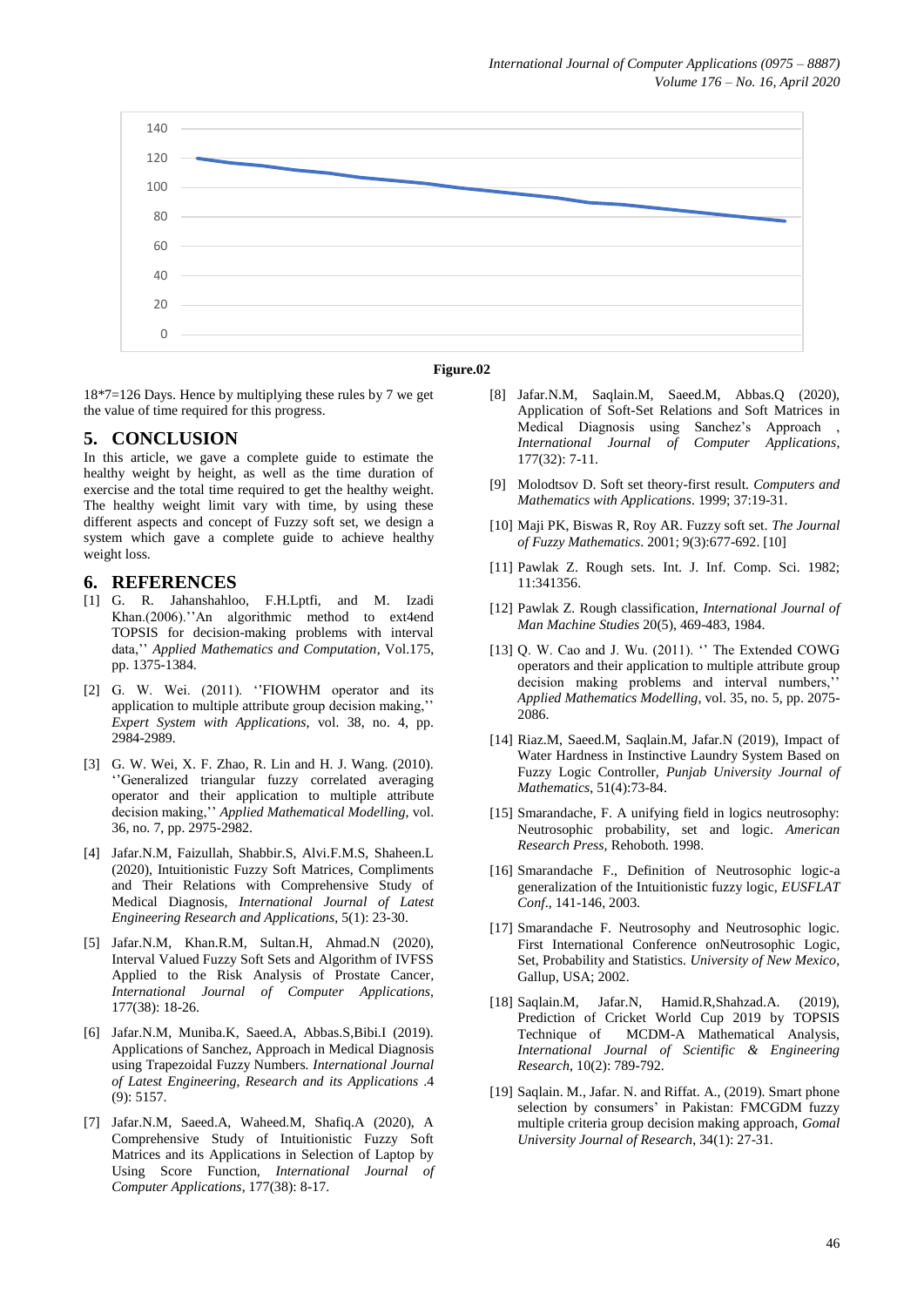

#### **Figure.02**

18\*7=126 Days. Hence by multiplying these rules by 7 we get the value of time required for this progress.

#### **5. CONCLUSION**

In this article, we gave a complete guide to estimate the healthy weight by height, as well as the time duration of exercise and the total time required to get the healthy weight. The healthy weight limit vary with time, by using these different aspects and concept of Fuzzy soft set, we design a system which gave a complete guide to achieve healthy weight loss.

#### **6. REFERENCES**

- [1] G. R. Jahanshahloo, F.H.Lptfi, and M. Izadi Khan.(2006).''An algorithmic method to ext4end TOPSIS for decision-making problems with interval data,'' *Applied Mathematics and Computation*, Vol.175, pp. 1375-1384.
- [2] G. W. Wei. (2011). "FIOWHM operator and its application to multiple attribute group decision making,'' *Expert System with Applications,* vol. 38, no. 4, pp. 2984-2989.
- [3] G. W. Wei, X. F. Zhao, R. Lin and H. J. Wang. (2010). ''Generalized triangular fuzzy correlated averaging operator and their application to multiple attribute decision making,'' *Applied Mathematical Modelling*, vol. 36, no. 7, pp. 2975-2982.
- [4] Jafar.N.M, Faizullah, Shabbir.S, Alvi.F.M.S, Shaheen.L (2020), Intuitionistic Fuzzy Soft Matrices, Compliments and Their Relations with Comprehensive Study of Medical Diagnosis, *International Journal of Latest Engineering Research and Applications*, 5(1): 23-30.
- [5] Jafar.N.M, Khan.R.M, Sultan.H, Ahmad.N (2020), Interval Valued Fuzzy Soft Sets and Algorithm of IVFSS Applied to the Risk Analysis of Prostate Cancer*, International Journal of Computer Applications,* 177(38): 18-26.
- [6] Jafar.N.M, Muniba.K, Saeed.A, Abbas.S,Bibi.I (2019). Applications of Sanchez, Approach in Medical Diagnosis using Trapezoidal Fuzzy Numbers*. International Journal of Latest Engineering, Research and its Applications* .4 (9): 5157.
- [7] Jafar.N.M, Saeed.A, Waheed.M, Shafiq.A (2020), A Comprehensive Study of Intuitionistic Fuzzy Soft Matrices and its Applications in Selection of Laptop by Using Score Function, *International Journal of Computer Applications*, 177(38): 8-17.
- [8] Jafar.N.M, Saqlain.M, Saeed.M, Abbas.Q (2020), Application of Soft-Set Relations and Soft Matrices in Medical Diagnosis using Sanchez's Approach *International Journal of Computer Applications*, 177(32): 7-11.
- [9] Molodtsov D. Soft set theory-first result*. Computers and Mathematics with Applications*. 1999; 37:19-31.
- [10] Maji PK, Biswas R, Roy AR. Fuzzy soft set*. The Journal of Fuzzy Mathematics*. 2001; 9(3):677-692. [10]
- [11] Pawlak Z. Rough sets. Int. J. Inf. Comp. Sci. 1982; 11:341356.
- [12] Pawlak Z. Rough classification, *International Journal of Man Machine Studies* 20(5), 469-483, 1984.
- [13] Q. W. Cao and J. Wu. (2011). "The Extended COWG operators and their application to multiple attribute group decision making problems and interval numbers,'' *Applied Mathematics Modelling*, vol. 35, no. 5, pp. 2075- 2086.
- [14] Riaz.M, Saeed.M, Saqlain.M, Jafar.N (2019), Impact of Water Hardness in Instinctive Laundry System Based on Fuzzy Logic Controller, *Punjab University Journal of Mathematics*, 51(4):73-84.
- [15] Smarandache, F. A unifying field in logics neutrosophy: Neutrosophic probability, set and logic. *American Research Press,* Rehoboth. 1998.
- [16] Smarandache F., Definition of Neutrosophic logic-a generalization of the Intuitionistic fuzzy logic, *EUSFLAT Conf*., 141-146, 2003.
- [17] Smarandache F. Neutrosophy and Neutrosophic logic. First International Conference onNeutrosophic Logic, Set, Probability and Statistics. *University of New Mexico*, Gallup, USA; 2002.
- [18] Saqlain.M, Jafar.N, Hamid.R,Shahzad.A. (2019), Prediction of Cricket World Cup 2019 by TOPSIS Technique of MCDM-A Mathematical Analysis, *International Journal of Scientific & Engineering Research*, 10(2): 789-792.
- [19] Saqlain. M., Jafar. N. and Riffat. A., (2019). Smart phone selection by consumers' in Pakistan: FMCGDM fuzzy multiple criteria group decision making approach, *Gomal University Journal of Research*, 34(1): 27-31.